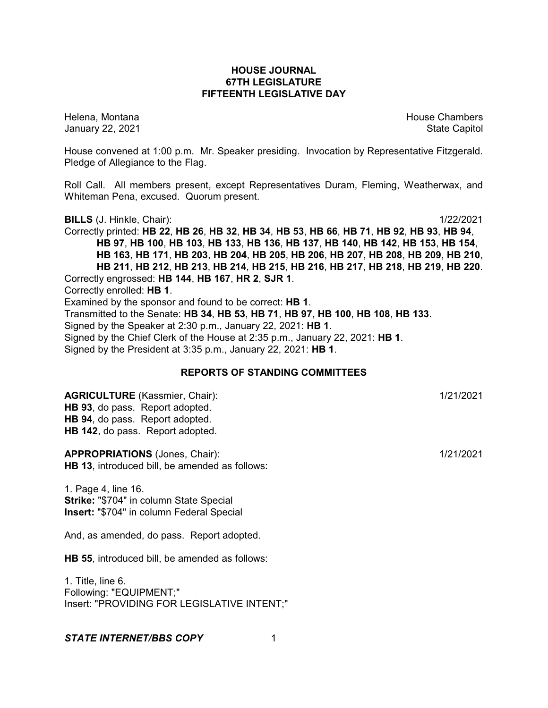### **HOUSE JOURNAL 67TH LEGISLATURE FIFTEENTH LEGISLATIVE DAY**

Helena, Montana House Chambers Chambers Chambers and House Chambers Chambers Chambers Chambers Chambers Chambers Chambers Chambers Chambers Chambers Chambers Chambers Chambers Chambers Chambers Chambers Chambers Chambers C January 22, 2021 **State Capitol** 

House convened at 1:00 p.m. Mr. Speaker presiding. Invocation by Representative Fitzgerald. Pledge of Allegiance to the Flag.

Roll Call. All members present, except Representatives Duram, Fleming, Weatherwax, and Whiteman Pena, excused. Quorum present.

**BILLS** (J. Hinkle, Chair): 1/22/2021

Correctly printed: HB 22, HB 26, HB 32, HB 34, HB 53, HB 66, HB 71, HB 92, HB 93, HB 94, **HB 97**, **HB 100**, **HB 103**, **HB 133**, **HB 136**, **HB 137**, **HB 140**, **HB 142**, **HB 153**, **HB 154**, **HB 163**, **HB 171**, **HB 203**, **HB 204**, **HB 205**, **HB 206**, **HB 207**, **HB 208**, **HB 209**, **HB 210**, **HB 211**, **HB 212**, **HB 213**, **HB 214**, **HB 215**, **HB 216**, **HB 217**, **HB 218**, **HB 219**, **HB 220**. Correctly engrossed: **HB 144**, **HB 167**, **HR 2**, **SJR 1**. Correctly enrolled: **HB 1**. Examined by the sponsor and found to be correct: **HB 1**. Transmitted to the Senate: **HB 34**, **HB 53**, **HB 71**, **HB 97**, **HB 100**, **HB 108**, **HB 133**. Signed by the Speaker at 2:30 p.m., January 22, 2021: **HB 1**. Signed by the Chief Clerk of the House at 2:35 p.m., January 22, 2021: **HB 1**. Signed by the President at 3:35 p.m., January 22, 2021: **HB 1**.

### **REPORTS OF STANDING COMMITTEES**

**AGRICULTURE** (Kassmier, Chair): 1/21/2021 **HB 93**, do pass. Report adopted. **HB 94**, do pass. Report adopted. **HB 142**, do pass. Report adopted.

**APPROPRIATIONS** (Jones, Chair): 1/21/2021 **HB 13**, introduced bill, be amended as follows:

1. Page 4, line 16. **Strike:** "\$704" in column State Special **Insert:** "\$704" in column Federal Special

And, as amended, do pass. Report adopted.

**HB 55**, introduced bill, be amended as follows:

1. Title, line 6. Following: "EQUIPMENT;" Insert: "PROVIDING FOR LEGISLATIVE INTENT;"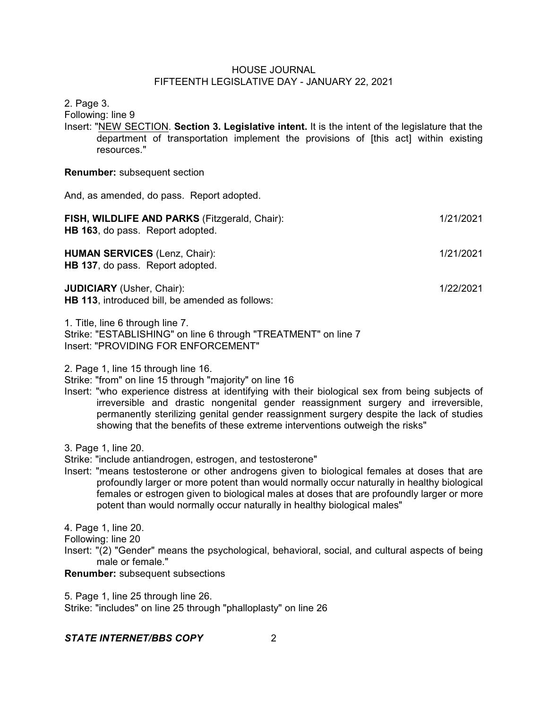2. Page 3.

Following: line 9

Insert: "NEW SECTION. **Section 3. Legislative intent.** It is the intent of the legislature that the department of transportation implement the provisions of [this act] within existing resources."

#### **Renumber:** subsequent section

And, as amended, do pass. Report adopted.

| FISH, WILDLIFE AND PARKS (Fitzgerald, Chair):<br>HB 163, do pass. Report adopted.   | 1/21/2021 |
|-------------------------------------------------------------------------------------|-----------|
| <b>HUMAN SERVICES (Lenz, Chair):</b><br>HB 137, do pass. Report adopted.            | 1/21/2021 |
| <b>JUDICIARY</b> (Usher, Chair):<br>HB 113, introduced bill, be amended as follows: | 1/22/2021 |

1. Title, line 6 through line 7. Strike: "ESTABLISHING" on line 6 through "TREATMENT" on line 7 Insert: "PROVIDING FOR ENFORCEMENT"

2. Page 1, line 15 through line 16.

Strike: "from" on line 15 through "majority" on line 16

- Insert: "who experience distress at identifying with their biological sex from being subjects of irreversible and drastic nongenital gender reassignment surgery and irreversible, permanently sterilizing genital gender reassignment surgery despite the lack of studies showing that the benefits of these extreme interventions outweigh the risks"
- 3. Page 1, line 20.

Strike: "include antiandrogen, estrogen, and testosterone"

Insert: "means testosterone or other androgens given to biological females at doses that are profoundly larger or more potent than would normally occur naturally in healthy biological females or estrogen given to biological males at doses that are profoundly larger or more potent than would normally occur naturally in healthy biological males"

4. Page 1, line 20.

Following: line 20

Insert: "(2) "Gender" means the psychological, behavioral, social, and cultural aspects of being male or female."

### **Renumber:** subsequent subsections

5. Page 1, line 25 through line 26.

Strike: "includes" on line 25 through "phalloplasty" on line 26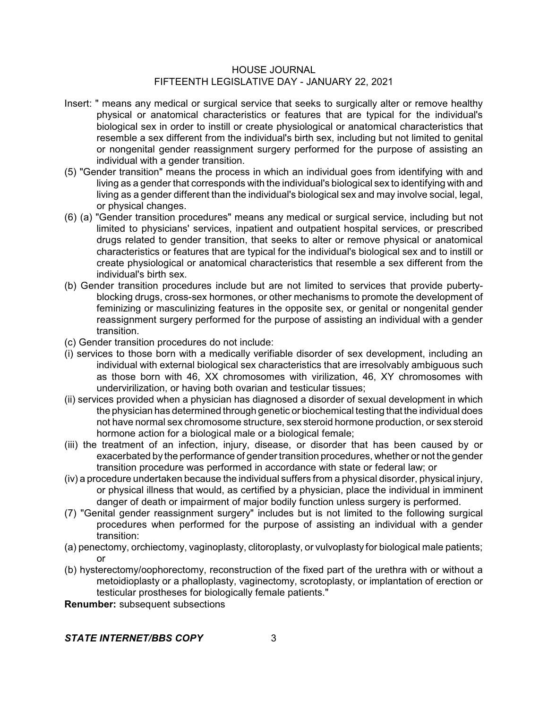- Insert: " means any medical or surgical service that seeks to surgically alter or remove healthy physical or anatomical characteristics or features that are typical for the individual's biological sex in order to instill or create physiological or anatomical characteristics that resemble a sex different from the individual's birth sex, including but not limited to genital or nongenital gender reassignment surgery performed for the purpose of assisting an individual with a gender transition.
- (5) "Gender transition" means the process in which an individual goes from identifying with and living as a gender that corresponds with the individual's biological sex to identifying with and living as a gender different than the individual's biological sex and may involve social, legal, or physical changes.
- (6) (a) "Gender transition procedures" means any medical or surgical service, including but not limited to physicians' services, inpatient and outpatient hospital services, or prescribed drugs related to gender transition, that seeks to alter or remove physical or anatomical characteristics or features that are typical for the individual's biological sex and to instill or create physiological or anatomical characteristics that resemble a sex different from the individual's birth sex.
- (b) Gender transition procedures include but are not limited to services that provide pubertyblocking drugs, cross-sex hormones, or other mechanisms to promote the development of feminizing or masculinizing features in the opposite sex, or genital or nongenital gender reassignment surgery performed for the purpose of assisting an individual with a gender transition.
- (c) Gender transition procedures do not include:
- (i) services to those born with a medically verifiable disorder of sex development, including an individual with external biological sex characteristics that are irresolvably ambiguous such as those born with 46, XX chromosomes with virilization, 46, XY chromosomes with undervirilization, or having both ovarian and testicular tissues;
- (ii) services provided when a physician has diagnosed a disorder of sexual development in which the physician has determined through genetic or biochemical testing that the individual does not have normal sex chromosome structure, sex steroid hormone production, or sex steroid hormone action for a biological male or a biological female;
- (iii) the treatment of an infection, injury, disease, or disorder that has been caused by or exacerbated by the performance of gender transition procedures, whether or not the gender transition procedure was performed in accordance with state or federal law; or
- (iv) a procedure undertaken because the individual suffers from a physical disorder, physical injury, or physical illness that would, as certified by a physician, place the individual in imminent danger of death or impairment of major bodily function unless surgery is performed.
- (7) "Genital gender reassignment surgery" includes but is not limited to the following surgical procedures when performed for the purpose of assisting an individual with a gender transition:
- (a) penectomy, orchiectomy, vaginoplasty, clitoroplasty, or vulvoplasty for biological male patients; or
- (b) hysterectomy/oophorectomy, reconstruction of the fixed part of the urethra with or without a metoidioplasty or a phalloplasty, vaginectomy, scrotoplasty, or implantation of erection or testicular prostheses for biologically female patients."

**Renumber:** subsequent subsections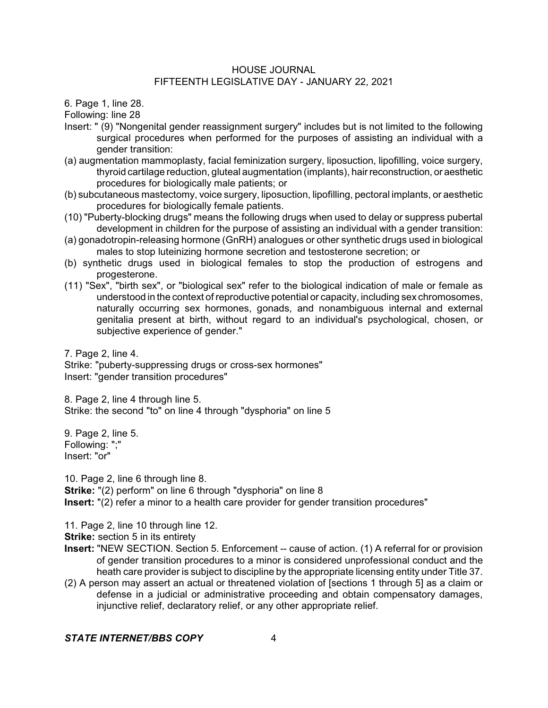6. Page 1, line 28.

Following: line 28

- Insert: " (9) "Nongenital gender reassignment surgery" includes but is not limited to the following surgical procedures when performed for the purposes of assisting an individual with a gender transition:
- (a) augmentation mammoplasty, facial feminization surgery, liposuction, lipofilling, voice surgery, thyroid cartilage reduction, gluteal augmentation (implants), hairreconstruction, or aesthetic procedures for biologically male patients; or
- (b) subcutaneous mastectomy, voice surgery, liposuction, lipofilling, pectoral implants, or aesthetic procedures for biologically female patients.
- (10) "Puberty-blocking drugs" means the following drugs when used to delay or suppress pubertal development in children for the purpose of assisting an individual with a gender transition:
- (a) gonadotropin-releasing hormone (GnRH) analogues or other synthetic drugs used in biological males to stop luteinizing hormone secretion and testosterone secretion; or
- (b) synthetic drugs used in biological females to stop the production of estrogens and progesterone.
- (11) "Sex", "birth sex", or "biological sex" refer to the biological indication of male or female as understood in the context of reproductive potential or capacity, including sex chromosomes, naturally occurring sex hormones, gonads, and nonambiguous internal and external genitalia present at birth, without regard to an individual's psychological, chosen, or subjective experience of gender."

7. Page 2, line 4. Strike: "puberty-suppressing drugs or cross-sex hormones" Insert: "gender transition procedures"

8. Page 2, line 4 through line 5. Strike: the second "to" on line 4 through "dysphoria" on line 5

9. Page 2, line 5. Following: ";" Insert: "or"

10. Page 2, line 6 through line 8.

**Strike:** "(2) perform" on line 6 through "dysphoria" on line 8

**Insert:** "(2) refer a minor to a health care provider for gender transition procedures"

11. Page 2, line 10 through line 12.

**Strike:** section 5 in its entirety

- **Insert:** "NEW SECTION. Section 5. Enforcement -- cause of action. (1) A referral for or provision of gender transition procedures to a minor is considered unprofessional conduct and the heath care provider is subject to discipline by the appropriate licensing entity under Title 37.
- (2) A person may assert an actual or threatened violation of [sections 1 through 5] as a claim or defense in a judicial or administrative proceeding and obtain compensatory damages, injunctive relief, declaratory relief, or any other appropriate relief.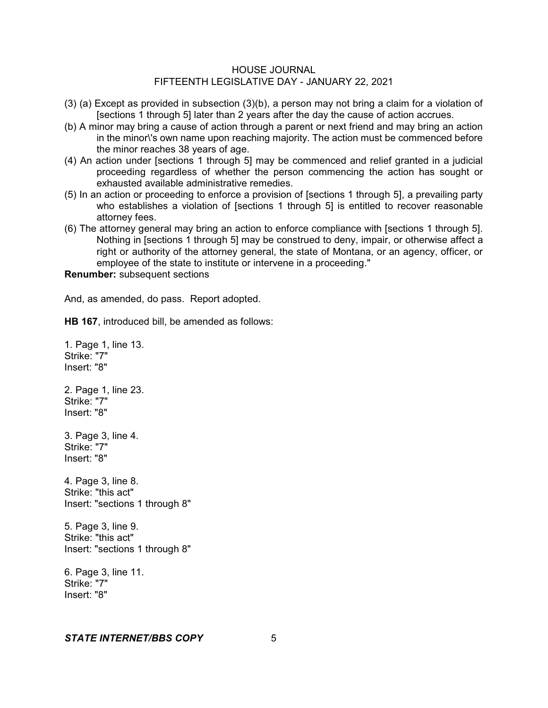- (3) (a) Except as provided in subsection (3)(b), a person may not bring a claim for a violation of [sections 1 through 5] later than 2 years after the day the cause of action accrues.
- (b) A minor may bring a cause of action through a parent or next friend and may bring an action in the minor\'s own name upon reaching majority. The action must be commenced before the minor reaches 38 years of age.
- (4) An action under [sections 1 through 5] may be commenced and relief granted in a judicial proceeding regardless of whether the person commencing the action has sought or exhausted available administrative remedies.
- (5) In an action or proceeding to enforce a provision of [sections 1 through 5], a prevailing party who establishes a violation of [sections 1 through 5] is entitled to recover reasonable attorney fees.
- (6) The attorney general may bring an action to enforce compliance with [sections 1 through 5]. Nothing in [sections 1 through 5] may be construed to deny, impair, or otherwise affect a right or authority of the attorney general, the state of Montana, or an agency, officer, or employee of the state to institute or intervene in a proceeding."

**Renumber:** subsequent sections

And, as amended, do pass. Report adopted.

**HB 167**, introduced bill, be amended as follows:

1. Page 1, line 13. Strike: "7" Insert: "8" 2. Page 1, line 23. Strike: "7" Insert: "8" 3. Page 3, line 4. Strike: "7" Insert: "8" 4. Page 3, line 8. Strike: "this act" Insert: "sections 1 through 8" 5. Page 3, line 9.

Strike: "this act" Insert: "sections 1 through 8"

6. Page 3, line 11. Strike: "7" Insert: "8"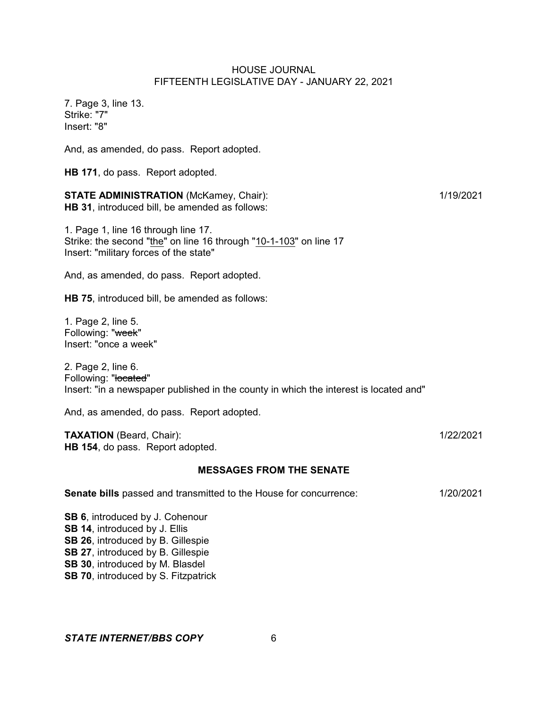7. Page 3, line 13. Strike: "7" Insert: "8"

And, as amended, do pass. Report adopted.

**HB 171**, do pass. Report adopted.

**STATE ADMINISTRATION** (McKamey, Chair): 1/19/2021 **HB 31**, introduced bill, be amended as follows:

1. Page 1, line 16 through line 17. Strike: the second "the" on line 16 through "10-1-103" on line 17 Insert: "military forces of the state"

And, as amended, do pass. Report adopted.

**HB 75**, introduced bill, be amended as follows:

1. Page 2, line 5. Following: "week" Insert: "once a week"

2. Page 2, line 6. Following: "located" Insert: "in a newspaper published in the county in which the interest is located and"

And, as amended, do pass. Report adopted.

**TAXATION** (Beard, Chair): 1/22/2021 **HB 154**, do pass. Report adopted.

#### **MESSAGES FROM THE SENATE**

| <b>Senate bills</b> passed and transmitted to the House for concurrence: | 1/20/2021 |
|--------------------------------------------------------------------------|-----------|
|--------------------------------------------------------------------------|-----------|

**SB 6**, introduced by J. Cohenour **SB 14**, introduced by J. Ellis **SB 26**, introduced by B. Gillespie **SB 27**, introduced by B. Gillespie **SB 30**, introduced by M. Blasdel **SB 70**, introduced by S. Fitzpatrick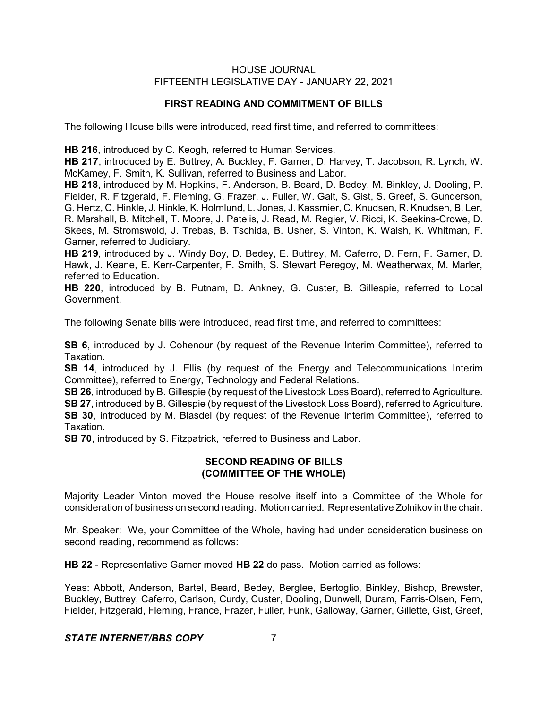## **FIRST READING AND COMMITMENT OF BILLS**

The following House bills were introduced, read first time, and referred to committees:

**HB 216**, introduced by C. Keogh, referred to Human Services.

**HB 217**, introduced by E. Buttrey, A. Buckley, F. Garner, D. Harvey, T. Jacobson, R. Lynch, W. McKamey, F. Smith, K. Sullivan, referred to Business and Labor.

**HB 218**, introduced by M. Hopkins, F. Anderson, B. Beard, D. Bedey, M. Binkley, J. Dooling, P. Fielder, R. Fitzgerald, F. Fleming, G. Frazer, J. Fuller, W. Galt, S. Gist, S. Greef, S. Gunderson, G. Hertz, C. Hinkle, J. Hinkle, K. Holmlund, L. Jones, J. Kassmier, C. Knudsen, R. Knudsen, B. Ler, R. Marshall, B. Mitchell, T. Moore, J. Patelis, J. Read, M. Regier, V. Ricci, K. Seekins-Crowe, D. Skees, M. Stromswold, J. Trebas, B. Tschida, B. Usher, S. Vinton, K. Walsh, K. Whitman, F. Garner, referred to Judiciary.

**HB 219**, introduced by J. Windy Boy, D. Bedey, E. Buttrey, M. Caferro, D. Fern, F. Garner, D. Hawk, J. Keane, E. Kerr-Carpenter, F. Smith, S. Stewart Peregoy, M. Weatherwax, M. Marler, referred to Education.

**HB 220**, introduced by B. Putnam, D. Ankney, G. Custer, B. Gillespie, referred to Local Government.

The following Senate bills were introduced, read first time, and referred to committees:

**SB 6**, introduced by J. Cohenour (by request of the Revenue Interim Committee), referred to Taxation.

**SB 14**, introduced by J. Ellis (by request of the Energy and Telecommunications Interim Committee), referred to Energy, Technology and Federal Relations.

**SB 26**, introduced by B. Gillespie (by request of the Livestock Loss Board), referred to Agriculture. **SB 27**, introduced by B. Gillespie (by request of the Livestock Loss Board), referred to Agriculture. **SB 30**, introduced by M. Blasdel (by request of the Revenue Interim Committee), referred to Taxation.

**SB 70**, introduced by S. Fitzpatrick, referred to Business and Labor.

## **SECOND READING OF BILLS (COMMITTEE OF THE WHOLE)**

Majority Leader Vinton moved the House resolve itself into a Committee of the Whole for consideration of business on second reading. Motion carried. Representative Zolnikov in the chair.

Mr. Speaker: We, your Committee of the Whole, having had under consideration business on second reading, recommend as follows:

**HB 22** - Representative Garner moved **HB 22** do pass. Motion carried as follows:

Yeas: Abbott, Anderson, Bartel, Beard, Bedey, Berglee, Bertoglio, Binkley, Bishop, Brewster, Buckley, Buttrey, Caferro, Carlson, Curdy, Custer, Dooling, Dunwell, Duram, Farris-Olsen, Fern, Fielder, Fitzgerald, Fleming, France, Frazer, Fuller, Funk, Galloway, Garner, Gillette, Gist, Greef,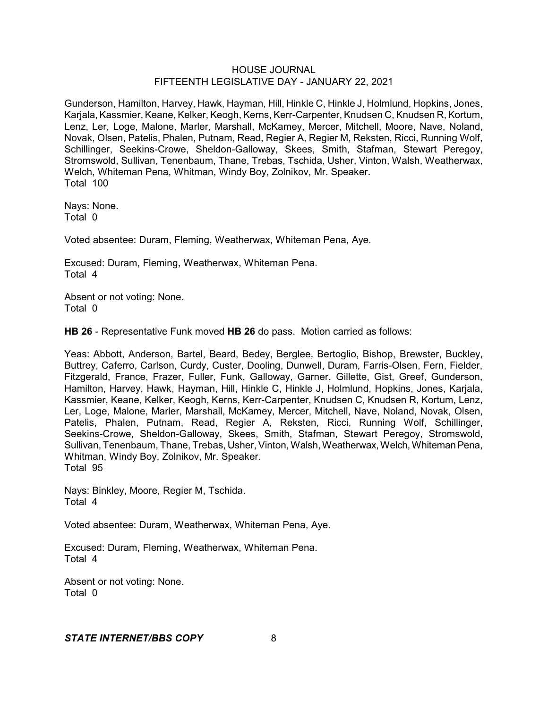Gunderson, Hamilton, Harvey, Hawk, Hayman, Hill, Hinkle C, Hinkle J, Holmlund, Hopkins, Jones, Karjala, Kassmier, Keane, Kelker, Keogh, Kerns, Kerr-Carpenter, Knudsen C, Knudsen R, Kortum, Lenz, Ler, Loge, Malone, Marler, Marshall, McKamey, Mercer, Mitchell, Moore, Nave, Noland, Novak, Olsen, Patelis, Phalen, Putnam, Read, Regier A, Regier M, Reksten, Ricci, Running Wolf, Schillinger, Seekins-Crowe, Sheldon-Galloway, Skees, Smith, Stafman, Stewart Peregoy, Stromswold, Sullivan, Tenenbaum, Thane, Trebas, Tschida, Usher, Vinton, Walsh, Weatherwax, Welch, Whiteman Pena, Whitman, Windy Boy, Zolnikov, Mr. Speaker. Total 100

Nays: None. Total 0

Voted absentee: Duram, Fleming, Weatherwax, Whiteman Pena, Aye.

Excused: Duram, Fleming, Weatherwax, Whiteman Pena. Total 4

Absent or not voting: None. Total 0

**HB 26** - Representative Funk moved **HB 26** do pass. Motion carried as follows:

Yeas: Abbott, Anderson, Bartel, Beard, Bedey, Berglee, Bertoglio, Bishop, Brewster, Buckley, Buttrey, Caferro, Carlson, Curdy, Custer, Dooling, Dunwell, Duram, Farris-Olsen, Fern, Fielder, Fitzgerald, France, Frazer, Fuller, Funk, Galloway, Garner, Gillette, Gist, Greef, Gunderson, Hamilton, Harvey, Hawk, Hayman, Hill, Hinkle C, Hinkle J, Holmlund, Hopkins, Jones, Karjala, Kassmier, Keane, Kelker, Keogh, Kerns, Kerr-Carpenter, Knudsen C, Knudsen R, Kortum, Lenz, Ler, Loge, Malone, Marler, Marshall, McKamey, Mercer, Mitchell, Nave, Noland, Novak, Olsen, Patelis, Phalen, Putnam, Read, Regier A, Reksten, Ricci, Running Wolf, Schillinger, Seekins-Crowe, Sheldon-Galloway, Skees, Smith, Stafman, Stewart Peregoy, Stromswold, Sullivan, Tenenbaum, Thane, Trebas, Usher, Vinton, Walsh, Weatherwax, Welch, Whiteman Pena, Whitman, Windy Boy, Zolnikov, Mr. Speaker. Total 95

Nays: Binkley, Moore, Regier M, Tschida. Total 4

Voted absentee: Duram, Weatherwax, Whiteman Pena, Aye.

Excused: Duram, Fleming, Weatherwax, Whiteman Pena. Total 4

Absent or not voting: None. Total 0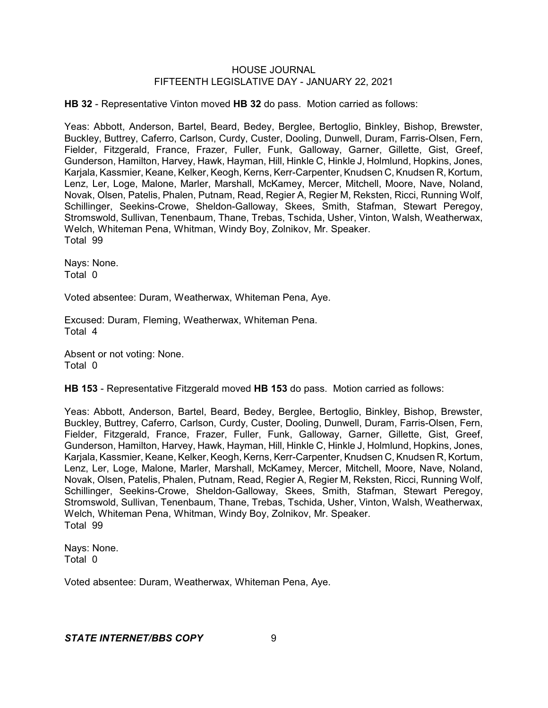**HB 32** - Representative Vinton moved **HB 32** do pass. Motion carried as follows:

Yeas: Abbott, Anderson, Bartel, Beard, Bedey, Berglee, Bertoglio, Binkley, Bishop, Brewster, Buckley, Buttrey, Caferro, Carlson, Curdy, Custer, Dooling, Dunwell, Duram, Farris-Olsen, Fern, Fielder, Fitzgerald, France, Frazer, Fuller, Funk, Galloway, Garner, Gillette, Gist, Greef, Gunderson, Hamilton, Harvey, Hawk, Hayman, Hill, Hinkle C, Hinkle J, Holmlund, Hopkins, Jones, Karjala, Kassmier, Keane, Kelker, Keogh, Kerns, Kerr-Carpenter, Knudsen C, Knudsen R, Kortum, Lenz, Ler, Loge, Malone, Marler, Marshall, McKamey, Mercer, Mitchell, Moore, Nave, Noland, Novak, Olsen, Patelis, Phalen, Putnam, Read, Regier A, Regier M, Reksten, Ricci, Running Wolf, Schillinger, Seekins-Crowe, Sheldon-Galloway, Skees, Smith, Stafman, Stewart Peregoy, Stromswold, Sullivan, Tenenbaum, Thane, Trebas, Tschida, Usher, Vinton, Walsh, Weatherwax, Welch, Whiteman Pena, Whitman, Windy Boy, Zolnikov, Mr. Speaker. Total 99

Nays: None. Total 0

Voted absentee: Duram, Weatherwax, Whiteman Pena, Aye.

Excused: Duram, Fleming, Weatherwax, Whiteman Pena. Total 4

Absent or not voting: None. Total 0

**HB 153** - Representative Fitzgerald moved **HB 153** do pass. Motion carried as follows:

Yeas: Abbott, Anderson, Bartel, Beard, Bedey, Berglee, Bertoglio, Binkley, Bishop, Brewster, Buckley, Buttrey, Caferro, Carlson, Curdy, Custer, Dooling, Dunwell, Duram, Farris-Olsen, Fern, Fielder, Fitzgerald, France, Frazer, Fuller, Funk, Galloway, Garner, Gillette, Gist, Greef, Gunderson, Hamilton, Harvey, Hawk, Hayman, Hill, Hinkle C, Hinkle J, Holmlund, Hopkins, Jones, Karjala, Kassmier, Keane, Kelker, Keogh, Kerns, Kerr-Carpenter, Knudsen C, Knudsen R, Kortum, Lenz, Ler, Loge, Malone, Marler, Marshall, McKamey, Mercer, Mitchell, Moore, Nave, Noland, Novak, Olsen, Patelis, Phalen, Putnam, Read, Regier A, Regier M, Reksten, Ricci, Running Wolf, Schillinger, Seekins-Crowe, Sheldon-Galloway, Skees, Smith, Stafman, Stewart Peregoy, Stromswold, Sullivan, Tenenbaum, Thane, Trebas, Tschida, Usher, Vinton, Walsh, Weatherwax, Welch, Whiteman Pena, Whitman, Windy Boy, Zolnikov, Mr. Speaker. Total 99

Nays: None. Total 0

Voted absentee: Duram, Weatherwax, Whiteman Pena, Aye.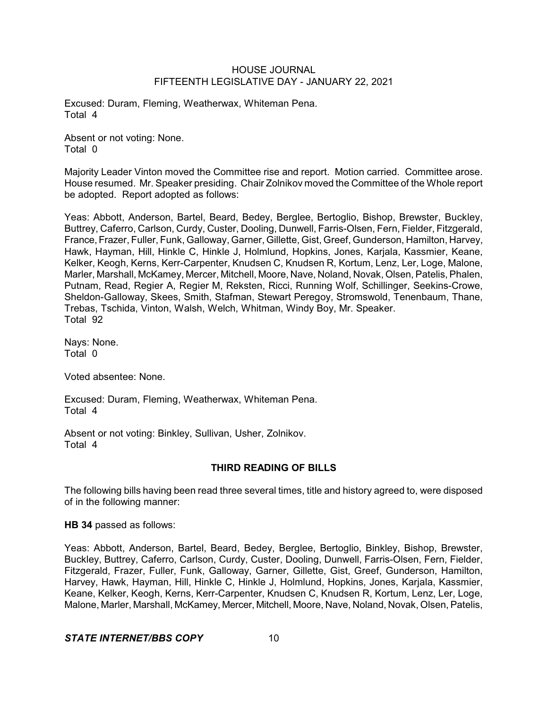Excused: Duram, Fleming, Weatherwax, Whiteman Pena. Total 4

Absent or not voting: None. Total 0

Majority Leader Vinton moved the Committee rise and report. Motion carried. Committee arose. House resumed. Mr. Speaker presiding. Chair Zolnikov moved the Committee of the Whole report be adopted. Report adopted as follows:

Yeas: Abbott, Anderson, Bartel, Beard, Bedey, Berglee, Bertoglio, Bishop, Brewster, Buckley, Buttrey, Caferro, Carlson, Curdy, Custer, Dooling, Dunwell, Farris-Olsen, Fern, Fielder, Fitzgerald, France, Frazer, Fuller, Funk, Galloway, Garner, Gillette, Gist, Greef, Gunderson, Hamilton, Harvey, Hawk, Hayman, Hill, Hinkle C, Hinkle J, Holmlund, Hopkins, Jones, Karjala, Kassmier, Keane, Kelker, Keogh, Kerns, Kerr-Carpenter, Knudsen C, Knudsen R, Kortum, Lenz, Ler, Loge, Malone, Marler, Marshall, McKamey, Mercer, Mitchell, Moore, Nave, Noland, Novak, Olsen, Patelis, Phalen, Putnam, Read, Regier A, Regier M, Reksten, Ricci, Running Wolf, Schillinger, Seekins-Crowe, Sheldon-Galloway, Skees, Smith, Stafman, Stewart Peregoy, Stromswold, Tenenbaum, Thane, Trebas, Tschida, Vinton, Walsh, Welch, Whitman, Windy Boy, Mr. Speaker. Total 92

Nays: None. Total 0

Voted absentee: None.

Excused: Duram, Fleming, Weatherwax, Whiteman Pena. Total 4

Absent or not voting: Binkley, Sullivan, Usher, Zolnikov. Total 4

# **THIRD READING OF BILLS**

The following bills having been read three several times, title and history agreed to, were disposed of in the following manner:

**HB 34** passed as follows:

Yeas: Abbott, Anderson, Bartel, Beard, Bedey, Berglee, Bertoglio, Binkley, Bishop, Brewster, Buckley, Buttrey, Caferro, Carlson, Curdy, Custer, Dooling, Dunwell, Farris-Olsen, Fern, Fielder, Fitzgerald, Frazer, Fuller, Funk, Galloway, Garner, Gillette, Gist, Greef, Gunderson, Hamilton, Harvey, Hawk, Hayman, Hill, Hinkle C, Hinkle J, Holmlund, Hopkins, Jones, Karjala, Kassmier, Keane, Kelker, Keogh, Kerns, Kerr-Carpenter, Knudsen C, Knudsen R, Kortum, Lenz, Ler, Loge, Malone, Marler, Marshall, McKamey, Mercer, Mitchell, Moore, Nave, Noland, Novak, Olsen, Patelis,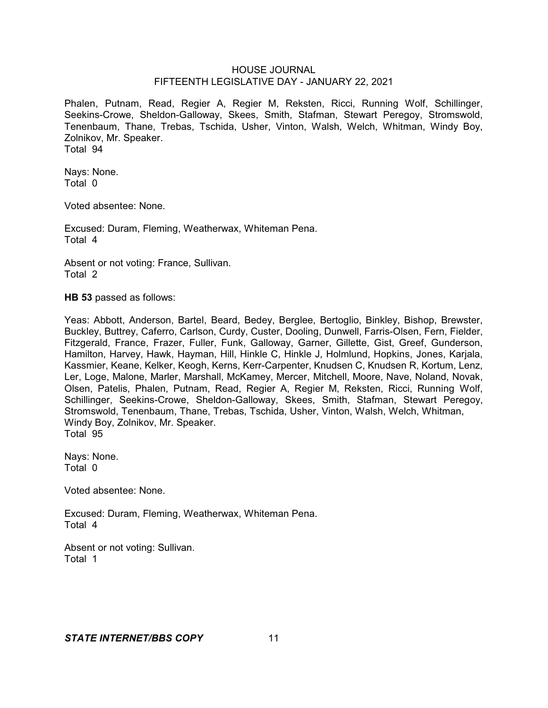Phalen, Putnam, Read, Regier A, Regier M, Reksten, Ricci, Running Wolf, Schillinger, Seekins-Crowe, Sheldon-Galloway, Skees, Smith, Stafman, Stewart Peregoy, Stromswold, Tenenbaum, Thane, Trebas, Tschida, Usher, Vinton, Walsh, Welch, Whitman, Windy Boy, Zolnikov, Mr. Speaker. Total 94

Nays: None. Total 0

Voted absentee: None.

Excused: Duram, Fleming, Weatherwax, Whiteman Pena. Total 4

Absent or not voting: France, Sullivan. Total 2

**HB 53** passed as follows:

Yeas: Abbott, Anderson, Bartel, Beard, Bedey, Berglee, Bertoglio, Binkley, Bishop, Brewster, Buckley, Buttrey, Caferro, Carlson, Curdy, Custer, Dooling, Dunwell, Farris-Olsen, Fern, Fielder, Fitzgerald, France, Frazer, Fuller, Funk, Galloway, Garner, Gillette, Gist, Greef, Gunderson, Hamilton, Harvey, Hawk, Hayman, Hill, Hinkle C, Hinkle J, Holmlund, Hopkins, Jones, Karjala, Kassmier, Keane, Kelker, Keogh, Kerns, Kerr-Carpenter, Knudsen C, Knudsen R, Kortum, Lenz, Ler, Loge, Malone, Marler, Marshall, McKamey, Mercer, Mitchell, Moore, Nave, Noland, Novak, Olsen, Patelis, Phalen, Putnam, Read, Regier A, Regier M, Reksten, Ricci, Running Wolf, Schillinger, Seekins-Crowe, Sheldon-Galloway, Skees, Smith, Stafman, Stewart Peregoy, Stromswold, Tenenbaum, Thane, Trebas, Tschida, Usher, Vinton, Walsh, Welch, Whitman, Windy Boy, Zolnikov, Mr. Speaker. Total 95

Nays: None. Total 0

Voted absentee: None.

Excused: Duram, Fleming, Weatherwax, Whiteman Pena. Total 4

Absent or not voting: Sullivan. Total 1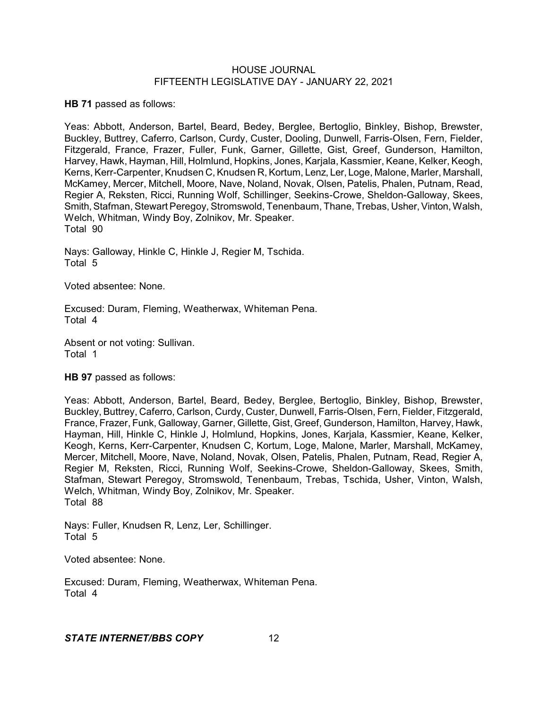**HB 71** passed as follows:

Yeas: Abbott, Anderson, Bartel, Beard, Bedey, Berglee, Bertoglio, Binkley, Bishop, Brewster, Buckley, Buttrey, Caferro, Carlson, Curdy, Custer, Dooling, Dunwell, Farris-Olsen, Fern, Fielder, Fitzgerald, France, Frazer, Fuller, Funk, Garner, Gillette, Gist, Greef, Gunderson, Hamilton, Harvey, Hawk, Hayman, Hill, Holmlund, Hopkins, Jones, Karjala, Kassmier, Keane, Kelker, Keogh, Kerns, Kerr-Carpenter, Knudsen C, Knudsen R, Kortum, Lenz, Ler, Loge, Malone, Marler, Marshall, McKamey, Mercer, Mitchell, Moore, Nave, Noland, Novak, Olsen, Patelis, Phalen, Putnam, Read, Regier A, Reksten, Ricci, Running Wolf, Schillinger, Seekins-Crowe, Sheldon-Galloway, Skees, Smith, Stafman, Stewart Peregoy, Stromswold, Tenenbaum, Thane, Trebas, Usher, Vinton, Walsh, Welch, Whitman, Windy Boy, Zolnikov, Mr. Speaker. Total 90

Nays: Galloway, Hinkle C, Hinkle J, Regier M, Tschida. Total 5

Voted absentee: None.

Excused: Duram, Fleming, Weatherwax, Whiteman Pena. Total 4

Absent or not voting: Sullivan. Total 1

### **HB 97** passed as follows:

Yeas: Abbott, Anderson, Bartel, Beard, Bedey, Berglee, Bertoglio, Binkley, Bishop, Brewster, Buckley, Buttrey, Caferro, Carlson, Curdy, Custer, Dunwell, Farris-Olsen, Fern, Fielder, Fitzgerald, France, Frazer, Funk, Galloway, Garner, Gillette, Gist, Greef, Gunderson, Hamilton, Harvey, Hawk, Hayman, Hill, Hinkle C, Hinkle J, Holmlund, Hopkins, Jones, Karjala, Kassmier, Keane, Kelker, Keogh, Kerns, Kerr-Carpenter, Knudsen C, Kortum, Loge, Malone, Marler, Marshall, McKamey, Mercer, Mitchell, Moore, Nave, Noland, Novak, Olsen, Patelis, Phalen, Putnam, Read, Regier A, Regier M, Reksten, Ricci, Running Wolf, Seekins-Crowe, Sheldon-Galloway, Skees, Smith, Stafman, Stewart Peregoy, Stromswold, Tenenbaum, Trebas, Tschida, Usher, Vinton, Walsh, Welch, Whitman, Windy Boy, Zolnikov, Mr. Speaker. Total 88

Nays: Fuller, Knudsen R, Lenz, Ler, Schillinger. Total 5

Voted absentee: None.

Excused: Duram, Fleming, Weatherwax, Whiteman Pena. Total 4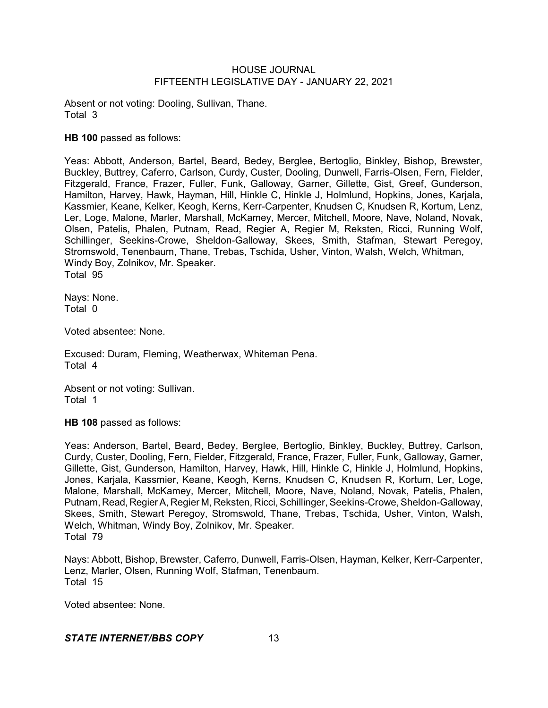Absent or not voting: Dooling, Sullivan, Thane. Total 3

**HB 100** passed as follows:

Yeas: Abbott, Anderson, Bartel, Beard, Bedey, Berglee, Bertoglio, Binkley, Bishop, Brewster, Buckley, Buttrey, Caferro, Carlson, Curdy, Custer, Dooling, Dunwell, Farris-Olsen, Fern, Fielder, Fitzgerald, France, Frazer, Fuller, Funk, Galloway, Garner, Gillette, Gist, Greef, Gunderson, Hamilton, Harvey, Hawk, Hayman, Hill, Hinkle C, Hinkle J, Holmlund, Hopkins, Jones, Karjala, Kassmier, Keane, Kelker, Keogh, Kerns, Kerr-Carpenter, Knudsen C, Knudsen R, Kortum, Lenz, Ler, Loge, Malone, Marler, Marshall, McKamey, Mercer, Mitchell, Moore, Nave, Noland, Novak, Olsen, Patelis, Phalen, Putnam, Read, Regier A, Regier M, Reksten, Ricci, Running Wolf, Schillinger, Seekins-Crowe, Sheldon-Galloway, Skees, Smith, Stafman, Stewart Peregoy, Stromswold, Tenenbaum, Thane, Trebas, Tschida, Usher, Vinton, Walsh, Welch, Whitman, Windy Boy, Zolnikov, Mr. Speaker. Total 95

Nays: None. Total 0

Voted absentee: None.

Excused: Duram, Fleming, Weatherwax, Whiteman Pena. Total 4

Absent or not voting: Sullivan. Total 1

**HB 108** passed as follows:

Yeas: Anderson, Bartel, Beard, Bedey, Berglee, Bertoglio, Binkley, Buckley, Buttrey, Carlson, Curdy, Custer, Dooling, Fern, Fielder, Fitzgerald, France, Frazer, Fuller, Funk, Galloway, Garner, Gillette, Gist, Gunderson, Hamilton, Harvey, Hawk, Hill, Hinkle C, Hinkle J, Holmlund, Hopkins, Jones, Karjala, Kassmier, Keane, Keogh, Kerns, Knudsen C, Knudsen R, Kortum, Ler, Loge, Malone, Marshall, McKamey, Mercer, Mitchell, Moore, Nave, Noland, Novak, Patelis, Phalen, Putnam, Read, Regier A, Regier M, Reksten, Ricci, Schillinger, Seekins-Crowe, Sheldon-Galloway, Skees, Smith, Stewart Peregoy, Stromswold, Thane, Trebas, Tschida, Usher, Vinton, Walsh, Welch, Whitman, Windy Boy, Zolnikov, Mr. Speaker. Total 79

Nays: Abbott, Bishop, Brewster, Caferro, Dunwell, Farris-Olsen, Hayman, Kelker, Kerr-Carpenter, Lenz, Marler, Olsen, Running Wolf, Stafman, Tenenbaum. Total 15

Voted absentee: None.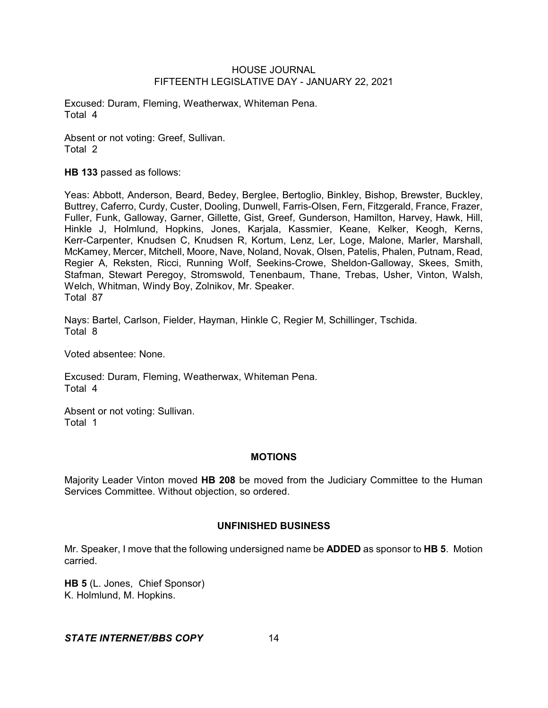Excused: Duram, Fleming, Weatherwax, Whiteman Pena. Total 4

Absent or not voting: Greef, Sullivan. Total 2

**HB 133** passed as follows:

Yeas: Abbott, Anderson, Beard, Bedey, Berglee, Bertoglio, Binkley, Bishop, Brewster, Buckley, Buttrey, Caferro, Curdy, Custer, Dooling, Dunwell, Farris-Olsen, Fern, Fitzgerald, France, Frazer, Fuller, Funk, Galloway, Garner, Gillette, Gist, Greef, Gunderson, Hamilton, Harvey, Hawk, Hill, Hinkle J, Holmlund, Hopkins, Jones, Karjala, Kassmier, Keane, Kelker, Keogh, Kerns, Kerr-Carpenter, Knudsen C, Knudsen R, Kortum, Lenz, Ler, Loge, Malone, Marler, Marshall, McKamey, Mercer, Mitchell, Moore, Nave, Noland, Novak, Olsen, Patelis, Phalen, Putnam, Read, Regier A, Reksten, Ricci, Running Wolf, Seekins-Crowe, Sheldon-Galloway, Skees, Smith, Stafman, Stewart Peregoy, Stromswold, Tenenbaum, Thane, Trebas, Usher, Vinton, Walsh, Welch, Whitman, Windy Boy, Zolnikov, Mr. Speaker. Total 87

Nays: Bartel, Carlson, Fielder, Hayman, Hinkle C, Regier M, Schillinger, Tschida. Total 8

Voted absentee: None.

Excused: Duram, Fleming, Weatherwax, Whiteman Pena. Total 4

Absent or not voting: Sullivan. Total 1

#### **MOTIONS**

Majority Leader Vinton moved **HB 208** be moved from the Judiciary Committee to the Human Services Committee. Without objection, so ordered.

#### **UNFINISHED BUSINESS**

Mr. Speaker, I move that the following undersigned name be **ADDED** as sponsor to **HB 5**. Motion carried.

**HB 5** (L. Jones, Chief Sponsor) K. Holmlund, M. Hopkins.